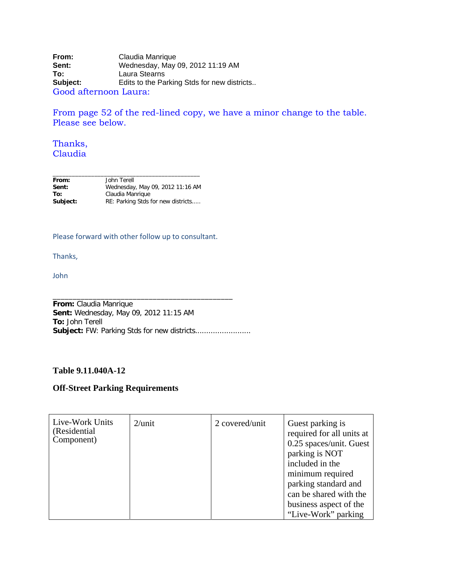**From:** Claudia Manrique<br> **Sent:** Wednesday, May Sent: Wednesday, May 09, 2012 11:19 AM<br>
To: Laura Stearns **To:** Laura Stearns<br> **Subject:** Edits to the Pa Edits to the Parking Stds for new districts.. Good afternoon Laura:

From page 52 of the red-lined copy, we have a minor change to the table. Please see below.

## Thanks, Claudia

| From:    | John Terell                        |
|----------|------------------------------------|
| Sent:    | Wednesday, May 09, 2012 11:16 AM   |
| To:      | Claudia Manrique                   |
| Subject: | RE: Parking Stds for new districts |

## Please forward with other follow up to consultant.

Thanks,

John

**From:** Claudia Manrique **Sent:** Wednesday, May 09, 2012 11:15 AM **To:** John Terell **Subject:** FW: Parking Stds for new districts.........................

\_\_\_\_\_\_\_\_\_\_\_\_\_\_\_\_\_\_\_\_\_\_\_\_\_\_\_\_\_\_\_\_\_\_\_\_\_\_\_\_\_\_\_\_\_

## **Table 9.11.040A-12**

## **Off-Street Parking Requirements**

| Live-Work Units<br>(Residential)<br>Component) | $2$ /unit | 2 covered/unit | Guest parking is<br>required for all units at<br>0.25 spaces/unit. Guest<br>parking is NOT<br>included in the<br>minimum required<br>parking standard and |
|------------------------------------------------|-----------|----------------|-----------------------------------------------------------------------------------------------------------------------------------------------------------|
|                                                |           |                | can be shared with the<br>business aspect of the<br>"Live-Work" parking                                                                                   |